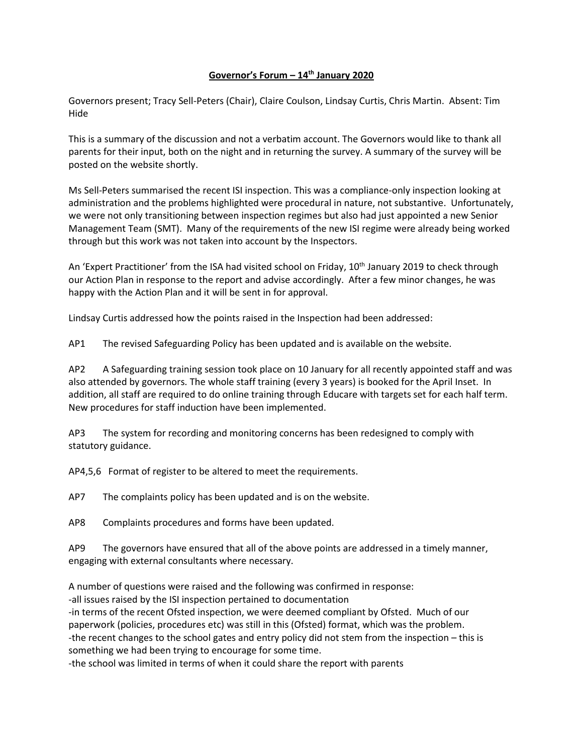## **Governor's Forum – 14th January 2020**

Governors present; Tracy Sell-Peters (Chair), Claire Coulson, Lindsay Curtis, Chris Martin. Absent: Tim Hide

This is a summary of the discussion and not a verbatim account. The Governors would like to thank all parents for their input, both on the night and in returning the survey. A summary of the survey will be posted on the website shortly.

Ms Sell-Peters summarised the recent ISI inspection. This was a compliance-only inspection looking at administration and the problems highlighted were procedural in nature, not substantive. Unfortunately, we were not only transitioning between inspection regimes but also had just appointed a new Senior Management Team (SMT). Many of the requirements of the new ISI regime were already being worked through but this work was not taken into account by the Inspectors.

An 'Expert Practitioner' from the ISA had visited school on Friday, 10<sup>th</sup> January 2019 to check through our Action Plan in response to the report and advise accordingly. After a few minor changes, he was happy with the Action Plan and it will be sent in for approval.

Lindsay Curtis addressed how the points raised in the Inspection had been addressed:

AP1 The revised Safeguarding Policy has been updated and is available on the website.

AP2 A Safeguarding training session took place on 10 January for all recently appointed staff and was also attended by governors. The whole staff training (every 3 years) is booked for the April Inset. In addition, all staff are required to do online training through Educare with targets set for each half term. New procedures for staff induction have been implemented.

AP3 The system for recording and monitoring concerns has been redesigned to comply with statutory guidance.

AP4,5,6 Format of register to be altered to meet the requirements.

AP7 The complaints policy has been updated and is on the website.

AP8 Complaints procedures and forms have been updated.

AP9 The governors have ensured that all of the above points are addressed in a timely manner, engaging with external consultants where necessary.

A number of questions were raised and the following was confirmed in response:

-all issues raised by the ISI inspection pertained to documentation

-in terms of the recent Ofsted inspection, we were deemed compliant by Ofsted. Much of our paperwork (policies, procedures etc) was still in this (Ofsted) format, which was the problem. -the recent changes to the school gates and entry policy did not stem from the inspection – this is something we had been trying to encourage for some time.

-the school was limited in terms of when it could share the report with parents